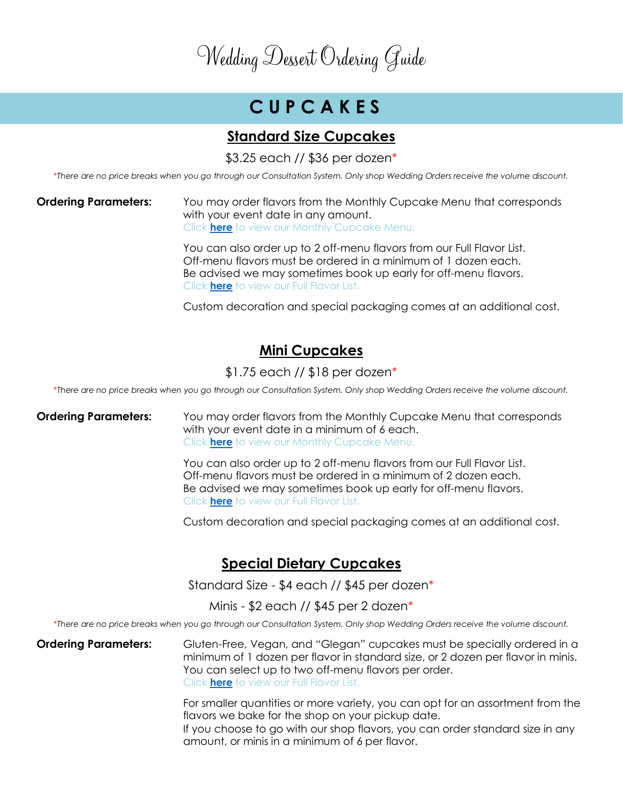# **C U P C A K E S**

#### **Standard Size Cupcakes**

\$3.25 each // \$36 per dozen\*

\**There are no price breaks when you go through our Consultation System. Only shop Wedding Orders receive the volume discount.*

#### **Ordering Parameters:** You may order flavors from the Monthly Cupcake Menu that corresponds with your event date in any amount. Click **[here](https://flavorcupcakery.com/monthly-cupcake-menu/)** to view our Monthly Cupcake Menu.

You can also order up to 2 off-menu flavors from our Full Flavor List. Off-menu flavors must be ordered in a minimum of 1 dozen each. Be advised we may sometimes book up early for off-menu flavors. Click **[here](https://flavorcupcakery.com/cupcake-flavors/)** to view our Full Flavor List.

Custom decoration and special packaging comes at an additional cost.

### **Mini Cupcakes**

\$1.75 each // \$18 per dozen\*

\**There are no price breaks when you go through our Consultation System. Only shop Wedding Orders receive the volume discount.*

#### **Ordering Parameters:** You may order flavors from the Monthly Cupcake Menu that corresponds with your event date in a minimum of 6 each. Click **[here](https://flavorcupcakery.com/monthly-cupcake-menu/)** to view our Monthly Cupcake Menu.

You can also order up to 2 off-menu flavors from our Full Flavor List. Off-menu flavors must be ordered in a minimum of 2 dozen each. Be advised we may sometimes book up early for off-menu flavors. Click **[here](https://flavorcupcakery.com/cupcake-flavors/)** to view our Full Flavor List.

Custom decoration and special packaging comes at an additional cost.

#### **Special Dietary Cupcakes**

Standard Size - \$4 each // \$45 per dozen\*

Minis - \$2 each // \$45 per 2 dozen\*

\**There are no price breaks when you go through our Consultation System. Only shop Wedding Orders receive the volume discount.*

**Ordering Parameters:** Gluten-Free, Vegan, and "Glegan" cupcakes must be specially ordered in a minimum of 1 dozen per flavor in standard size, or 2 dozen per flavor in minis. You can select up to two off-menu flavors per order. Click **[here](https://flavorcupcakery.com/cupcake-flavors/)** to view our Full Flavor List.

> For smaller quantities or more variety, you can opt for an assortment from the flavors we bake for the shop on your pickup date.

If you choose to go with our shop flavors, you can order standard size in any amount, or minis in a minimum of 6 per flavor.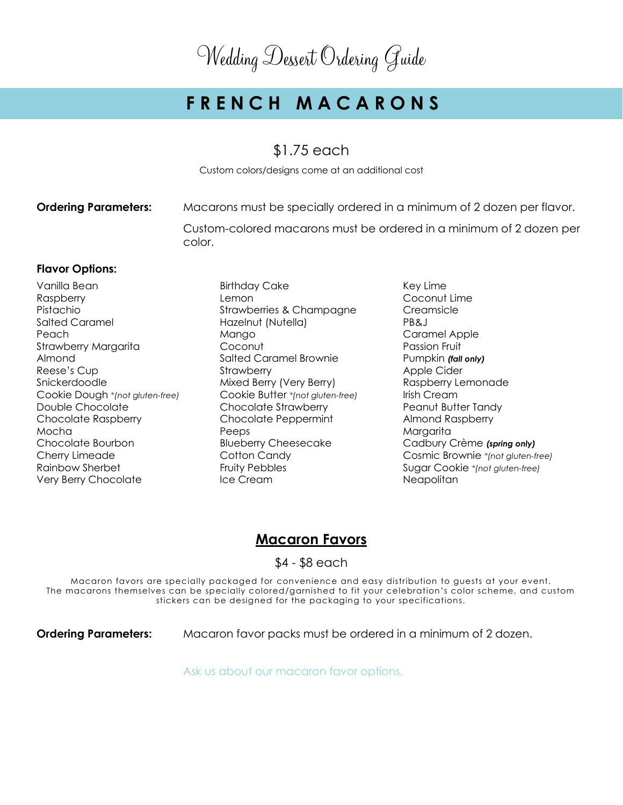# **F R E N C H M A C A R O N S**

#### \$1.75 each

Custom colors/designs come at an additional cost

**Ordering Parameters:** Macarons must be specially ordered in a minimum of 2 dozen per flavor.

Custom-colored macarons must be ordered in a minimum of 2 dozen per color.

#### **Flavor Options:**

- Vanilla Bean **Birthday Cake** Key Lime Raspberry Lemon Coconut Lime Pistachio Strawberries & Champagne Creamsicle Salted Caramel Hazelnut (Nutella) PB&J Peach **Mango** Mango Caramel Apple Strawberry Margarita **Coconut** Coconut **Passion Fruit** Almond Salted Caramel Brownie Pumpkin *(fall only)* Reese's Cup **Strawberry Strawberry Apple Cider** Snickerdoodle **Mixed Berry (Very Berry)** Raspberry Lemonade Cookie Dough \**(not gluten-free)* Cookie Butter *\*(not gluten-free)* Irish Cream Double Chocolate **Chocolate Strawberry** Peanut Butter Tandy Chocolate Raspberry Chocolate Peppermint Almond Raspberry Mocha Peeps Margarita Chocolate Bourbon Blueberry Cheesecake Cadbury Crème *(spring only)* Rainbow Sherbet **Fruity Pebbles** Fruity Pebbles Sugar Cookie *\*(not gluten-free)* Very Berry Chocolate **Ice Cream** Ice Cream Neapolitan
	-
- Cherry Limeade Cotton Candy Cosmic Brownie *\*(not gluten-free)*

### **Macaron Favors**

\$4 - \$8 each

Macaron favors are specially packaged for convenience and easy distribution to guests at your event. The macarons themselves can be specially colored/garnished to fit your celebration's color scheme, and custom stickers can be designed for the packaging to your specifications.

**Ordering Parameters:** Macaron favor packs must be ordered in a minimum of 2 dozen.

Ask us about our macaron favor options.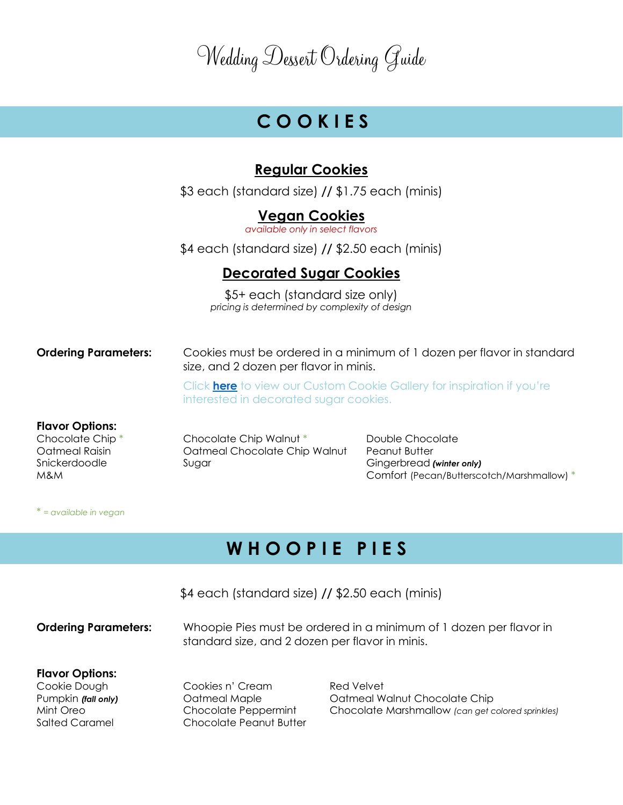# **C O O K I E S**

### **Regular Cookies**

\$3 each (standard size) **//** \$1.75 each (minis)

#### **Vegan Cookies**

*available only in select flavors*

\$4 each (standard size) **//** \$2.50 each (minis)

### **Decorated Sugar Cookies**

\$5+ each (standard size only) *pricing is determined by complexity of design*

**Ordering Parameters:** Cookies must be ordered in a minimum of 1 dozen per flavor in standard size, and 2 dozen per flavor in minis.

> Click **[here](https://flavorcupcakery.com/custom-cookie-gallery/)** to view our Custom Cookie Gallery for inspiration if you're interested in decorated sugar cookies.

#### **Flavor Options:**

Chocolate Chip \* Chocolate Chip Walnut \* Double Chocolate Oatmeal Raisin Oatmeal Chocolate Chip Walnut Peanut Butter Snickerdoodle Sugar Gingerbread *(winter only)*

M&M Comfort (Pecan/Butterscotch/Marshmallow) \*

#### \* *= available in vegan*

## **W H O O P I E P I E S**

\$4 each (standard size) **//** \$2.50 each (minis) **Ordering Parameters:** Whoopie Pies must be ordered in a minimum of 1 dozen per flavor in standard size, and 2 dozen per flavor in minis. **Flavor Options:** Cookie Dough Cookies n' Cream Red Velvet Pumpkin *(fall only)* Oatmeal Maple Oatmeal Walnut Chocolate Chip Mint Oreo Chocolate Peppermint Chocolate Marshmallow *(can get colored sprinkles)* Salted Caramel **Chocolate Peanut Butter**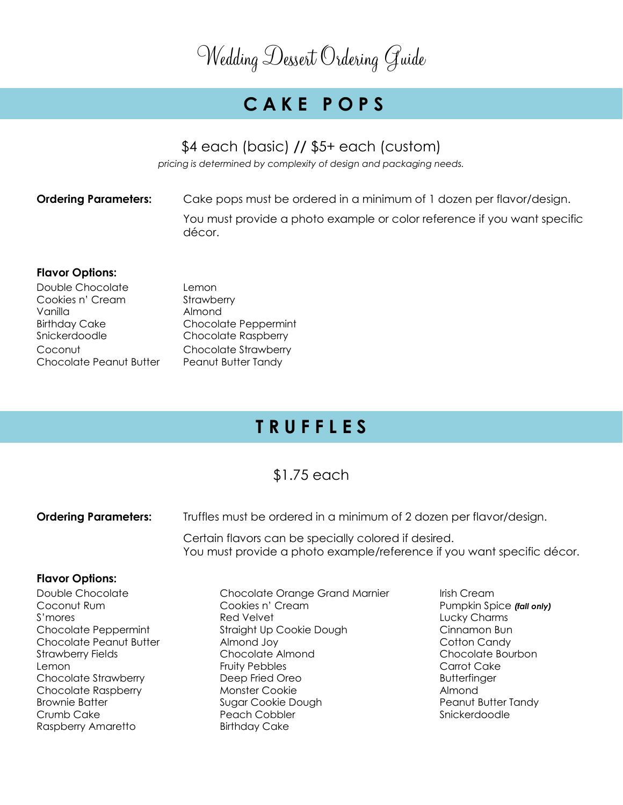# **C A K E P O P S**

### \$4 each (basic) **//** \$5+ each (custom)

*pricing is determined by complexity of design and packaging needs.*

**Ordering Parameters:** Cake pops must be ordered in a minimum of 1 dozen per flavor/design. You must provide a photo example or color reference if you want specific décor.

#### **Flavor Options:**

| Lemon                       |
|-----------------------------|
| Strawberry                  |
| Almond                      |
| <b>Chocolate Peppermint</b> |
| <b>Chocolate Raspberry</b>  |
| Chocolate Strawberry        |
| Peanut Butter Tandy         |
|                             |

## **T R U F F L E S**

### \$1.75 each

| Truffles must be ordered in a minimum of 2 dozen per flavor/design. |                                                                                                                                |
|---------------------------------------------------------------------|--------------------------------------------------------------------------------------------------------------------------------|
|                                                                     |                                                                                                                                |
|                                                                     |                                                                                                                                |
| Chocolate Orange Grand Marnier                                      | Irish Cream                                                                                                                    |
| Cookies n' Cream                                                    | Pumpkin Spice (fall only)                                                                                                      |
| Red Velvet                                                          | Lucky Charms                                                                                                                   |
| Straight Up Cookie Dough                                            | Cinnamon Bun                                                                                                                   |
| Almond Joy                                                          | Cotton Candy                                                                                                                   |
| Chocolate Almond                                                    | Chocolate Bourbon                                                                                                              |
| <b>Fruity Pebbles</b>                                               | Carrot Cake                                                                                                                    |
| Deep Fried Oreo                                                     | <b>Butterfinger</b>                                                                                                            |
|                                                                     | Certain flavors can be specially colored if desired.<br>You must provide a photo example/reference if you want specific décor. |

Raspberry Amaretto Birthday Cake

Chocolate Raspberry **Monster Cookie Almond** Almond Brownie Batter **Sugar Cookie Dough Peanut Butter Tandy Peanut Butter Tandy** Crumb Cake **Peach Cobbler** Peach Cobbler Snickerdoodle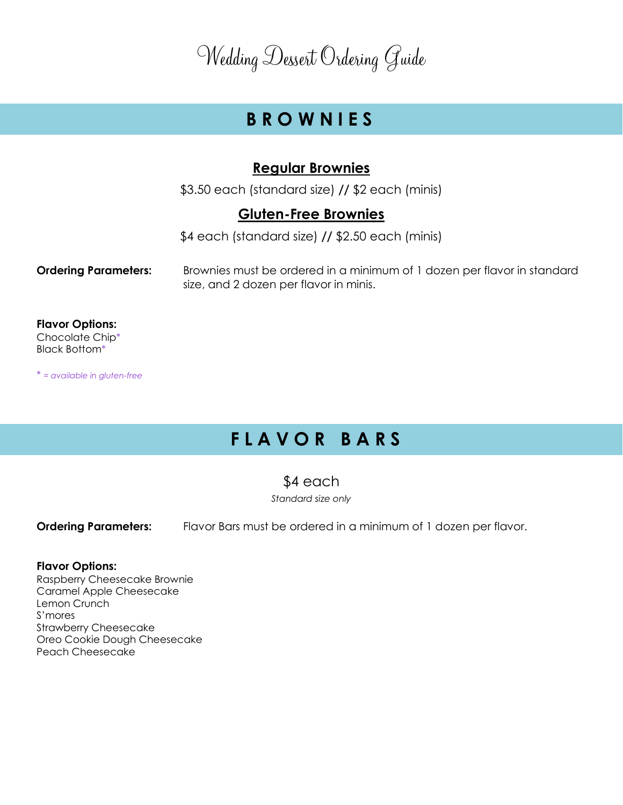## **B R O W N I E S**

#### **Regular Brownies**

\$3.50 each (standard size) **//** \$2 each (minis)

#### **Gluten-Free Brownies**

\$4 each (standard size) **//** \$2.50 each (minis)

**Ordering Parameters:** Brownies must be ordered in a minimum of 1 dozen per flavor in standard size, and 2 dozen per flavor in minis.

**Flavor Options:** Chocolate Chip\* Black Bottom\*

\* *= available in gluten-free*

# **F L A V O R B A R S**

### \$4 each

*Standard size only*

**Ordering Parameters:** Flavor Bars must be ordered in a minimum of 1 dozen per flavor.

#### **Flavor Options:**

Raspberry Cheesecake Brownie Caramel Apple Cheesecake Lemon Crunch S'mores Strawberry Cheesecake Oreo Cookie Dough Cheesecake Peach Cheesecake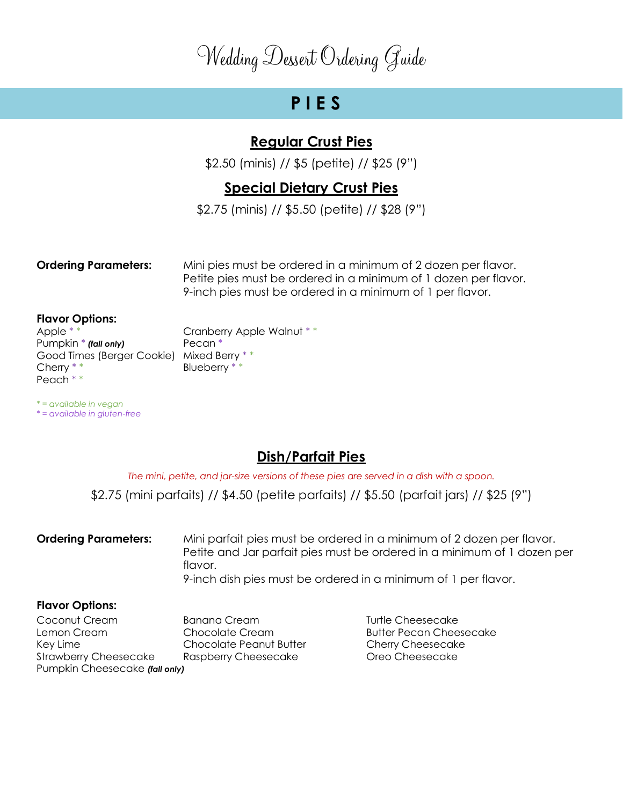## **P I E S**

### **Regular Crust Pies**

\$2.50 (minis) // \$5 (petite) // \$25 (9")

### **Special Dietary Crust Pies**

\$2.75 (minis) // \$5.50 (petite) // \$28 (9")

**Ordering Parameters:** Mini pies must be ordered in a minimum of 2 dozen per flavor. Petite pies must be ordered in a minimum of 1 dozen per flavor. 9-inch pies must be ordered in a minimum of 1 per flavor.

**Flavor Options:**

Pumpkin \* *(fall only)* Pecan \* Good Times (Berger Cookie) Mixed Berry \* \* Cherry \* \* Blueberry \* \* Peach \* \*

*\* = available in vegan \* = available in gluten-free*

Apple \* \* The Cranberry Apple Walnut \* \*

### **Dish/Parfait Pies**

*The mini, petite, and jar-size versions of these pies are served in a dish with a spoon.*

\$2.75 (mini parfaits) // \$4.50 (petite parfaits) // \$5.50 (parfait jars) // \$25 (9")

**Ordering Parameters:** Mini parfait pies must be ordered in a minimum of 2 dozen per flavor. Petite and Jar parfait pies must be ordered in a minimum of 1 dozen per flavor.

#### 9-inch dish pies must be ordered in a minimum of 1 per flavor.

#### **Flavor Options:**

Coconut Cream **Banana Cream** Banana Cream Turtle Cheesecake Lemon Cream Chocolate Cream Butter Pecan Cheesecake Key Lime Chocolate Peanut Butter Cherry Cheesecake Strawberry Cheesecake Raspberry Cheesecake Oreo Cheesecake Pumpkin Cheesecake *(fall only)*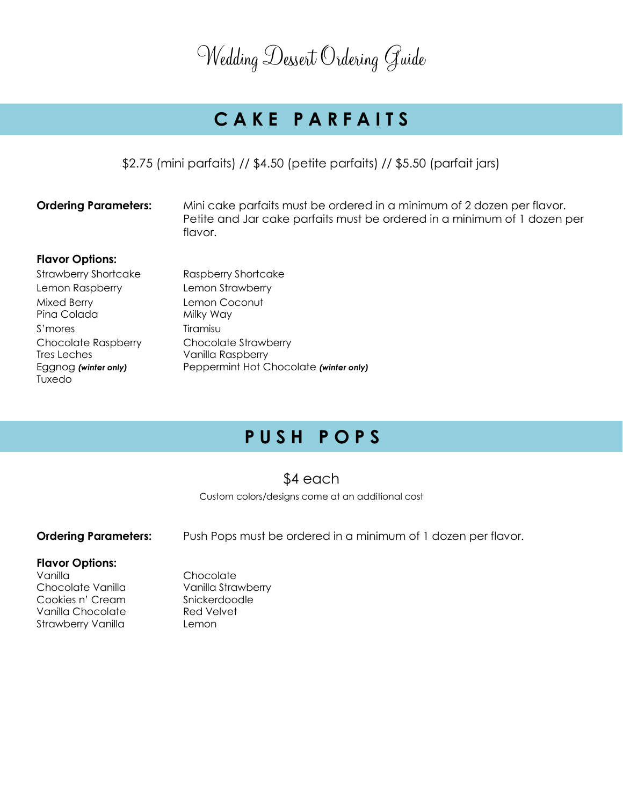# **C A K E P A R F A I T S**

\$2.75 (mini parfaits) // \$4.50 (petite parfaits) // \$5.50 (parfait jars)

**Ordering Parameters:** Mini cake parfaits must be ordered in a minimum of 2 dozen per flavor. Petite and Jar cake parfaits must be ordered in a minimum of 1 dozen per flavor.

#### **Flavor Options:**

| <b>Strawberry Shortcake</b> | Raspberry Shortcake                    |
|-----------------------------|----------------------------------------|
| Lemon Raspberry             | Lemon Strawberry                       |
| Mixed Berry                 | Lemon Coconut                          |
| Pina Colada                 | Milky Way                              |
| S'mores                     | Tiramisu                               |
| <b>Chocolate Raspberry</b>  | Chocolate Strawberry                   |
| Tres Leches                 | Vanilla Raspberry                      |
| Eggnog (winter only)        | Peppermint Hot Chocolate (winter only) |
| Tuxedo                      |                                        |

# **P U S H P O P S**

### \$4 each

Custom colors/designs come at an additional cost

**Ordering Parameters:** Push Pops must be ordered in a minimum of 1 dozen per flavor.

#### **Flavor Options:**

- Vanilla Chocolate Cookies n' Cream Snickerdoodle Vanilla Chocolate Red Velvet Strawberry Vanilla **Lemon**
- Chocolate Vanilla Vanilla Strawberry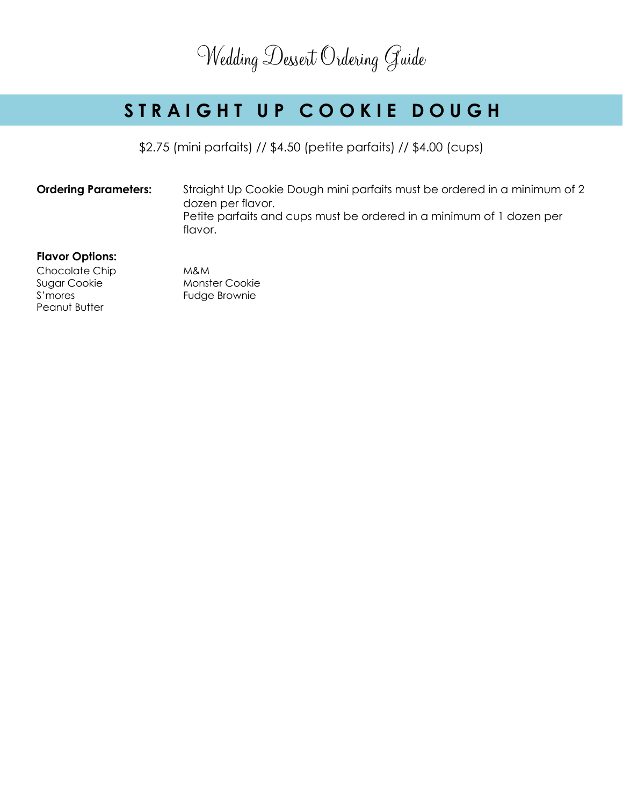# STRAIGHT UP COOKIE DOUGH

\$2.75 (mini parfaits) // \$4.50 (petite parfaits) // \$4.00 (cups)

**Ordering Parameters:** Straight Up Cookie Dough mini parfaits must be ordered in a minimum of 2 dozen per flavor. Petite parfaits and cups must be ordered in a minimum of 1 dozen per flavor.

#### **Flavor Options:**

Chocolate Chip M&M Sugar Cookie Monster Cookie S'mores Fudge Brownie Peanut Butter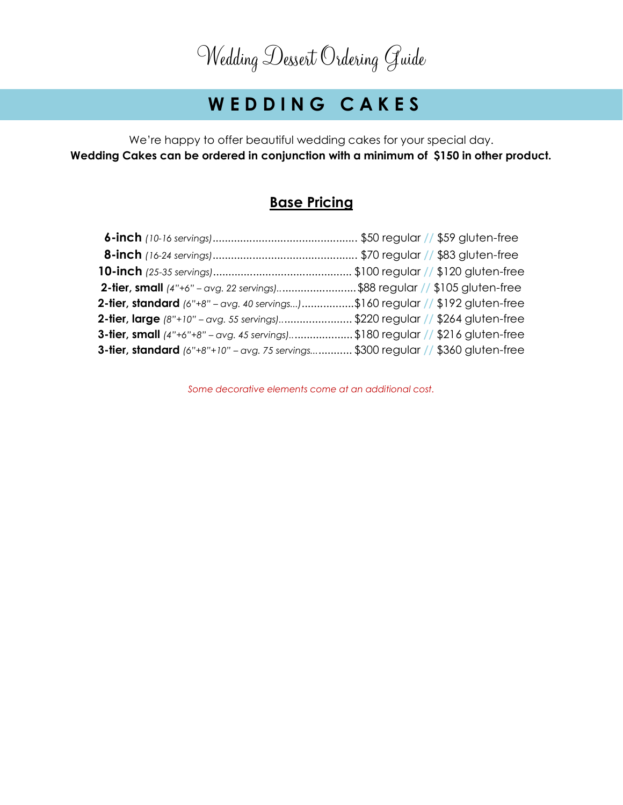# **W E D D I N G C A K E S**

We're happy to offer beautiful wedding cakes for your special day. **Wedding Cakes can be ordered in conjunction with a minimum of \$150 in other product.**

### **Base Pricing**

| <b>2-tier, small</b> $(4" + 6" - avg. 22$ servings)\$88 regular $//$ \$105 gluten-free     |  |
|--------------------------------------------------------------------------------------------|--|
| <b>2-tier, standard</b> $(6" + 8" - avg. 40$ servings)\$160 regular // \$192 gluten-free   |  |
| <b>2-tier, large</b> (8"+10" - avg. 55 servings)\$220 regular // \$264 gluten-free         |  |
| <b>3-tier, small</b> $(4" + 6" + 8" - avg. 45$ servings)\$180 regular // \$216 gluten-free |  |
| 3-tier, standard (6"+8"+10" - avg. 75 servings \$300 regular // \$360 gluten-free          |  |

*Some decorative elements come at an additional cost.*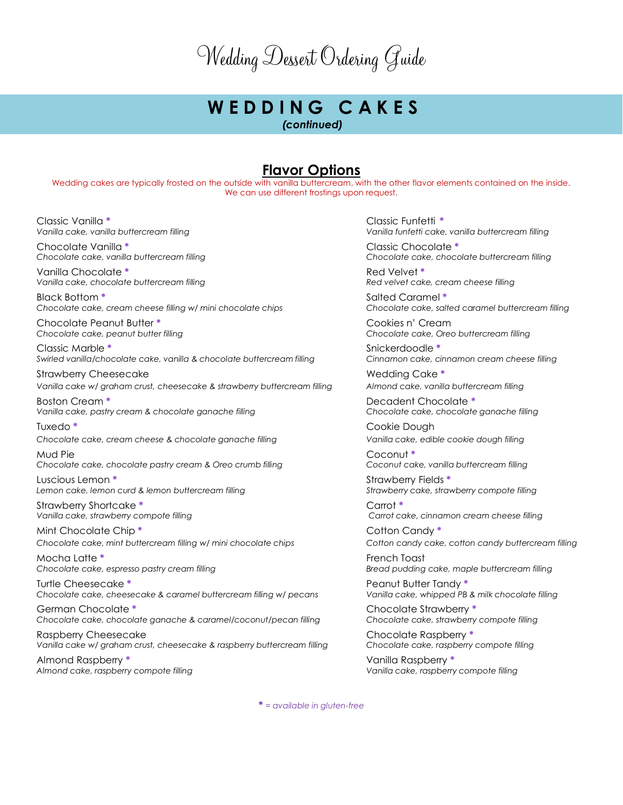# **W E D D I N G C A K E S**

*(continued)*

#### **Flavor Options**

Wedding cakes are typically frosted on the outside with vanilla buttercream, with the other flavor elements contained on the inside. We can use different frostings upon request.

Classic Vanilla **\*** Classic Funfetti **\***

Chocolate Vanilla **\*** Classic Chocolate **\***

Vanilla Chocolate  $*$  **Red Velvet**  $*$  Red Velvet  $*$ *Vanilla cake, chocolate buttercream filling Red velvet cake, cream cheese filling*

Black Bottom **\***  $\qquad \qquad$  Salted Caramel **\*** *Chocolate cake, cream cheese filling w/ mini chocolate chips Chocolate cake, salted caramel buttercream filling*

Chocolate Peanut Butter **\*** Cookies n' Cream

Classic Marble **\*** Snickerdoodle **\*** *Swirled vanilla/chocolate cake, vanilla & chocolate buttercream filling Cinnamon cake, cinnamon cream cheese filling*

Strawberry Cheesecake **Manufacture Cheesecake** Wedding Cake \* *Vanilla cake w/ graham crust, cheesecake & strawberry buttercream filling Almond cake, vanilla buttercream filling*

Boston Cream **\*** Decadent Chocolate **\*** *Vanilla cake, pastry cream & chocolate ganache filling Chocolate cake, chocolate ganache filling*

*Chocolate cake, cream cheese & chocolate ganache filling Vanilla cake, edible cookie dough filling*

Mud Pie Coconut **\*** *Chocolate cake, chocolate pastry cream & Oreo crumb filling Coconut cake, vanilla buttercream filling*

Luscious Lemon **\*** Strawberry Fields **\*** *Lemon cake, lemon curd & lemon buttercream filling Strawberry cake, strawberry compote filling*

Strawberry Shortcake **\*** Carrot **\***

Mint Chocolate Chip  $*$  **Contract Contract Contract Contract Contract Contract Contract Contract Contract Contract Contract Contract Contract Contract Contract Contract Contract Contract Contract Contract Contract Contract** *Chocolate cake, mint buttercream filling w/ mini chocolate chips Cotton candy cake, cotton candy buttercream filling*

Mocha Latte \*<br>Chocolate cake, espresso pastry cream filling **the control of the control of the Chocolate** Bread pudding

Turtle Cheesecake **\*** Peanut Butter Tandy **\*** *Chocolate cake, cheesecake & caramel buttercream filling w/ pecans Vanilla cake, whipped PB & milk chocolate filling*

German Chocolate **\*** Chocolate Strawberry **\*** *Chocolate cake, chocolate ganache & caramel/coconut/pecan filling* 

Raspberry Cheesecake Chocolate Raspberry **\*** *Vanilla cake w/ graham crust, cheesecake & raspberry buttercream filling Chocolate cake, raspberry compote filling*

Almond Raspberry **\*** Vanilla Raspberry **\*** *Almond cake, raspberry compote filling Vanilla cake, raspberry compote filling*

*Vanilla cake, vanilla buttercream filling Vanilla funfetti cake, vanilla buttercream filling*

*Chocolate cake, vanilla buttercream filling Chocolate cake, chocolate buttercream filling*

*Chocolate cake, peanut butter filling Chocolate cake, Oreo buttercream filling*

Tuxedo **\*** Cookie Dough

*Vanilla cake, strawberry compote filling Carrot cake, cinnamon cream cheese filling*

*Chocolate cake, espresso pastry cream filling Bread pudding cake, maple buttercream filling*

**\*** *= available in gluten-free*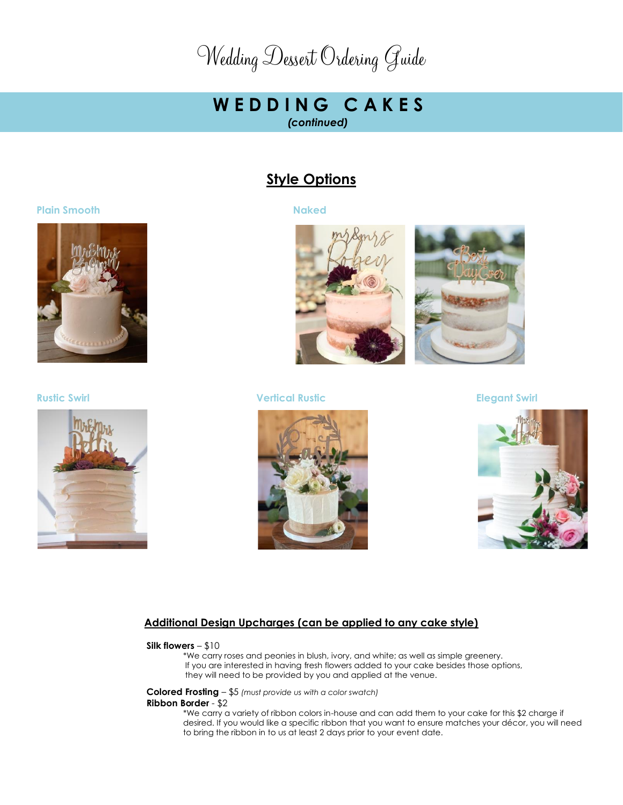### **W E D D I N G C A K E S**  *(continued)*

#### **Style Options**



#### **Rustic Swirl Vertical Rustic Elegant Swirl**







#### **Additional Design Upcharges (can be applied to any cake style)**

#### **Silk flowers** – \$10

\*We carry roses and peonies in blush, ivory, and white; as well as simple greenery. If you are interested in having fresh flowers added to your cake besides those options, they will need to be provided by you and applied at the venue.

**Colored Frosting** – \$5 *(must provide us with a color swatch)*

#### **Ribbon Border** - \$2

\*We carry a variety of ribbon colors in-house and can add them to your cake for this \$2 charge if desired. If you would like a specific ribbon that you want to ensure matches your décor, you will need to bring the ribbon in to us at least 2 days prior to your event date.

#### **Plain Smooth Naked**